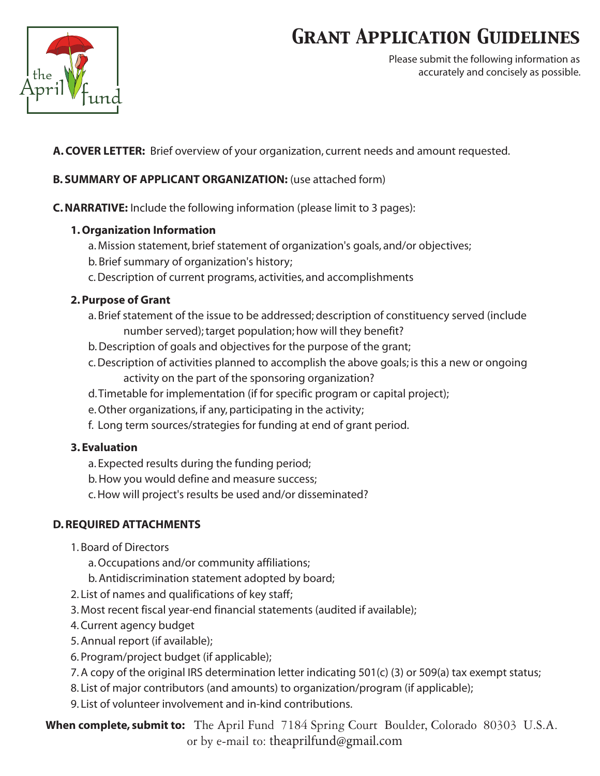# *Grant Application Guidelines*



Please submit the following information as accurately and concisely as possible.

**A. COVER LETTER:** Brief overview of your organization, current needs and amount requested.

#### **B. SUMMARY OF APPLICANT ORGANIZATION:** (use attached form)

**C. NARRATIVE:** Include the following information (please limit to 3 pages):

#### **1. Organization Information**

- a. Mission statement, brief statement of organization's goals, and/or objectives;
- b. Brief summary of organization's history;
- c. Description of current programs, activities, and accomplishments

### **2. Purpose of Grant**

- a. Brief statement of the issue to be addressed; description of constituency served (include number served); target population; how will they benefit?
- b. Description of goals and objectives for the purpose of the grant;
- c. Description of activities planned to accomplish the above goals; is this a new or ongoing activity on the part of the sponsoring organization?
- d. Timetable for implementation (if for specific program or capital project);
- e. Other organizations, if any, participating in the activity;
- f. Long term sources/strategies for funding at end of grant period.

### **3. Evaluation**

- a. Expected results during the funding period;
- b. How you would define and measure success;
- c. How will project's results be used and/or disseminated?

### **D. REQUIRED ATTACHMENTS**

- 1. Board of Directors
	- a. Occupations and/or community affiliations;
	- b. Antidiscrimination statement adopted by board;
- 2. List of names and qualifications of key staff;
- 3. Most recent fiscal year-end financial statements (audited if available);
- 4. Current agency budget
- 5. Annual report (if available);
- 6. Program/project budget (if applicable);
- 7. A copy of the original IRS determination letter indicating 501(c) (3) or 509(a) tax exempt status;
- 8. List of major contributors (and amounts) to organization/program (if applicable);
- 9. List of volunteer involvement and in-kind contributions.

 **When complete, submit to:** The April Fund 7184 Spring Court Boulder, Colorado 80303 U.S.A. or by e-mail to: [theaprilfund@gmail.co](mailto:info@aprilfund.org)m